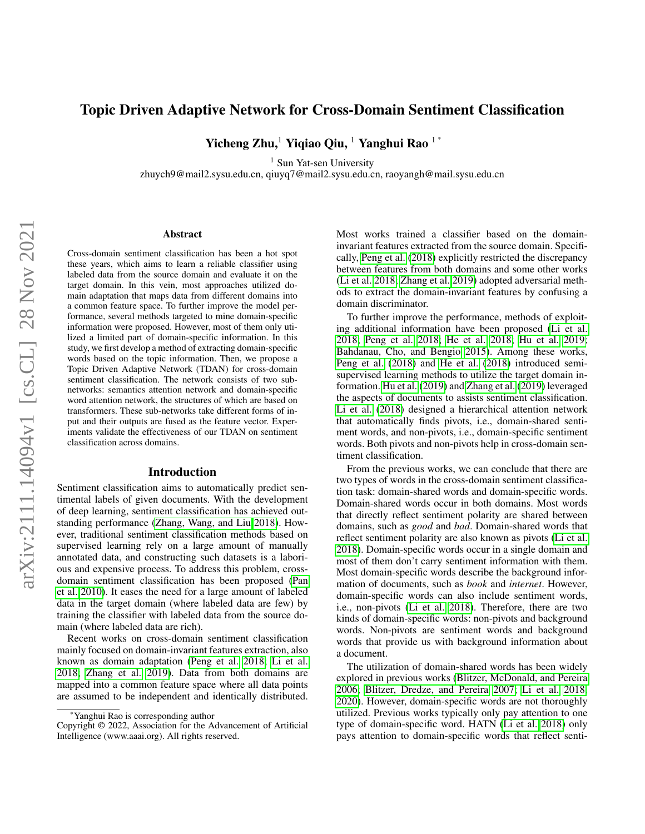# Topic Driven Adaptive Network for Cross-Domain Sentiment Classification

Yicheng Zhu,<sup>1</sup> Yiqiao Qiu,<sup>1</sup> Yanghui Rao<sup>1\*</sup>

<sup>1</sup> Sun Yat-sen University

zhuych9@mail2.sysu.edu.cn, qiuyq7@mail2.sysu.edu.cn, raoyangh@mail.sysu.edu.cn

#### Abstract

Cross-domain sentiment classification has been a hot spot these years, which aims to learn a reliable classifier using labeled data from the source domain and evaluate it on the target domain. In this vein, most approaches utilized domain adaptation that maps data from different domains into a common feature space. To further improve the model performance, several methods targeted to mine domain-specific information were proposed. However, most of them only utilized a limited part of domain-specific information. In this study, we first develop a method of extracting domain-specific words based on the topic information. Then, we propose a Topic Driven Adaptive Network (TDAN) for cross-domain sentiment classification. The network consists of two subnetworks: semantics attention network and domain-specific word attention network, the structures of which are based on transformers. These sub-networks take different forms of input and their outputs are fused as the feature vector. Experiments validate the effectiveness of our TDAN on sentiment classification across domains.

#### Introduction

Sentiment classification aims to automatically predict sentimental labels of given documents. With the development of deep learning, sentiment classification has achieved outstanding performance [\(Zhang, Wang, and Liu 2018\)](#page-8-0). However, traditional sentiment classification methods based on supervised learning rely on a large amount of manually annotated data, and constructing such datasets is a laborious and expensive process. To address this problem, crossdomain sentiment classification has been proposed [\(Pan](#page-7-0) [et al. 2010\)](#page-7-0). It eases the need for a large amount of labeled data in the target domain (where labeled data are few) by training the classifier with labeled data from the source domain (where labeled data are rich).

Recent works on cross-domain sentiment classification mainly focused on domain-invariant features extraction, also known as domain adaptation [\(Peng et al. 2018;](#page-7-1) [Li et al.](#page-7-2) [2018;](#page-7-2) [Zhang et al. 2019\)](#page-8-1). Data from both domains are mapped into a common feature space where all data points are assumed to be independent and identically distributed. Most works trained a classifier based on the domaininvariant features extracted from the source domain. Specifically, [Peng et al.](#page-7-1) [\(2018\)](#page-7-1) explicitly restricted the discrepancy between features from both domains and some other works [\(Li et al. 2018;](#page-7-2) [Zhang et al. 2019\)](#page-8-1) adopted adversarial methods to extract the domain-invariant features by confusing a domain discriminator.

To further improve the performance, methods of exploiting additional information have been proposed [\(Li et al.](#page-7-2) [2018;](#page-7-2) [Peng et al. 2018;](#page-7-1) [He et al. 2018;](#page-7-3) [Hu et al. 2019;](#page-7-4) [Bahdanau, Cho, and Bengio 2015\)](#page-7-5). Among these works, [Peng et al.](#page-7-1) [\(2018\)](#page-7-1) and [He et al.](#page-7-3) [\(2018\)](#page-7-3) introduced semisupervised learning methods to utilize the target domain information. [Hu et al.](#page-7-4) [\(2019\)](#page-7-4) and [Zhang et al.](#page-8-1) [\(2019\)](#page-8-1) leveraged the aspects of documents to assists sentiment classification. [Li et al.](#page-7-2) [\(2018\)](#page-7-2) designed a hierarchical attention network that automatically finds pivots, i.e., domain-shared sentiment words, and non-pivots, i.e., domain-specific sentiment words. Both pivots and non-pivots help in cross-domain sentiment classification.

From the previous works, we can conclude that there are two types of words in the cross-domain sentiment classification task: domain-shared words and domain-specific words. Domain-shared words occur in both domains. Most words that directly reflect sentiment polarity are shared between domains, such as *good* and *bad*. Domain-shared words that reflect sentiment polarity are also known as pivots [\(Li et al.](#page-7-2) [2018\)](#page-7-2). Domain-specific words occur in a single domain and most of them don't carry sentiment information with them. Most domain-specific words describe the background information of documents, such as *book* and *internet*. However, domain-specific words can also include sentiment words, i.e., non-pivots [\(Li et al. 2018\)](#page-7-2). Therefore, there are two kinds of domain-specific words: non-pivots and background words. Non-pivots are sentiment words and background words that provide us with background information about a document.

The utilization of domain-shared words has been widely explored in previous works [\(Blitzer, McDonald, and Pereira](#page-7-6) [2006;](#page-7-6) [Blitzer, Dredze, and Pereira 2007;](#page-7-7) [Li et al. 2018,](#page-7-2) [2020\)](#page-7-8). However, domain-specific words are not thoroughly utilized. Previous works typically only pay attention to one type of domain-specific word. HATN [\(Li et al. 2018\)](#page-7-2) only pays attention to domain-specific words that reflect senti-

<sup>\*</sup>Yanghui Rao is corresponding author

Copyright © 2022, Association for the Advancement of Artificial Intelligence (www.aaai.org). All rights reserved.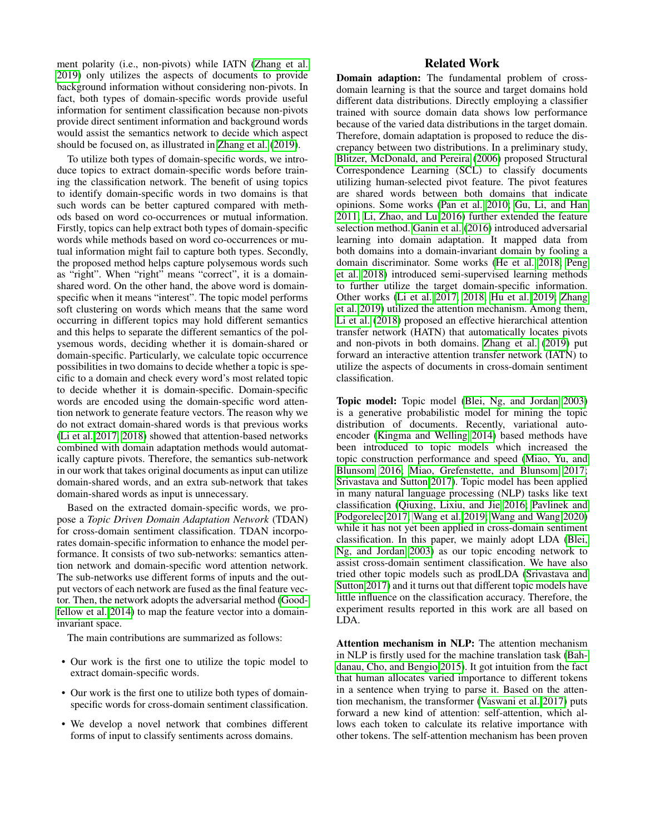ment polarity (i.e., non-pivots) while IATN [\(Zhang et al.](#page-8-1) [2019\)](#page-8-1) only utilizes the aspects of documents to provide background information without considering non-pivots. In fact, both types of domain-specific words provide useful information for sentiment classification because non-pivots provide direct sentiment information and background words would assist the semantics network to decide which aspect should be focused on, as illustrated in [Zhang et al.](#page-8-1) [\(2019\)](#page-8-1).

To utilize both types of domain-specific words, we introduce topics to extract domain-specific words before training the classification network. The benefit of using topics to identify domain-specific words in two domains is that such words can be better captured compared with methods based on word co-occurrences or mutual information. Firstly, topics can help extract both types of domain-specific words while methods based on word co-occurrences or mutual information might fail to capture both types. Secondly, the proposed method helps capture polysemous words such as "right". When "right" means "correct", it is a domainshared word. On the other hand, the above word is domainspecific when it means "interest". The topic model performs soft clustering on words which means that the same word occurring in different topics may hold different semantics and this helps to separate the different semantics of the polysemous words, deciding whether it is domain-shared or domain-specific. Particularly, we calculate topic occurrence possibilities in two domains to decide whether a topic is specific to a domain and check every word's most related topic to decide whether it is domain-specific. Domain-specific words are encoded using the domain-specific word attention network to generate feature vectors. The reason why we do not extract domain-shared words is that previous works [\(Li et al. 2017,](#page-7-9) [2018\)](#page-7-2) showed that attention-based networks combined with domain adaptation methods would automatically capture pivots. Therefore, the semantics sub-network in our work that takes original documents as input can utilize domain-shared words, and an extra sub-network that takes domain-shared words as input is unnecessary.

Based on the extracted domain-specific words, we propose a *Topic Driven Domain Adaptation Network* (TDAN) for cross-domain sentiment classification. TDAN incorporates domain-specific information to enhance the model performance. It consists of two sub-networks: semantics attention network and domain-specific word attention network. The sub-networks use different forms of inputs and the output vectors of each network are fused as the final feature vector. Then, the network adopts the adversarial method [\(Good](#page-7-10)[fellow et al. 2014\)](#page-7-10) to map the feature vector into a domaininvariant space.

The main contributions are summarized as follows:

- Our work is the first one to utilize the topic model to extract domain-specific words.
- Our work is the first one to utilize both types of domainspecific words for cross-domain sentiment classification.
- We develop a novel network that combines different forms of input to classify sentiments across domains.

## Related Work

Domain adaption: The fundamental problem of crossdomain learning is that the source and target domains hold different data distributions. Directly employing a classifier trained with source domain data shows low performance because of the varied data distributions in the target domain. Therefore, domain adaptation is proposed to reduce the discrepancy between two distributions. In a preliminary study, [Blitzer, McDonald, and Pereira](#page-7-6) [\(2006\)](#page-7-6) proposed Structural Correspondence Learning (SCL) to classify documents utilizing human-selected pivot feature. The pivot features are shared words between both domains that indicate opinions. Some works [\(Pan et al. 2010;](#page-7-0) [Gu, Li, and Han](#page-7-11) [2011;](#page-7-11) [Li, Zhao, and Lu 2016\)](#page-7-12) further extended the feature selection method. [Ganin et al.](#page-7-13) [\(2016\)](#page-7-13) introduced adversarial learning into domain adaptation. It mapped data from both domains into a domain-invariant domain by fooling a domain discriminator. Some works [\(He et al. 2018;](#page-7-3) [Peng](#page-7-1) [et al. 2018\)](#page-7-1) introduced semi-supervised learning methods to further utilize the target domain-specific information. Other works [\(Li et al. 2017,](#page-7-9) [2018;](#page-7-2) [Hu et al. 2019;](#page-7-4) [Zhang](#page-8-1) [et al. 2019\)](#page-8-1) utilized the attention mechanism. Among them, [Li et al.](#page-7-2) [\(2018\)](#page-7-2) proposed an effective hierarchical attention transfer network (HATN) that automatically locates pivots and non-pivots in both domains. [Zhang et al.](#page-8-1) [\(2019\)](#page-8-1) put forward an interactive attention transfer network (IATN) to utilize the aspects of documents in cross-domain sentiment classification.

Topic model: Topic model [\(Blei, Ng, and Jordan 2003\)](#page-7-14) is a generative probabilistic model for mining the topic distribution of documents. Recently, variational autoencoder [\(Kingma and Welling 2014\)](#page-7-15) based methods have been introduced to topic models which increased the topic construction performance and speed [\(Miao, Yu, and](#page-7-16) [Blunsom 2016;](#page-7-16) [Miao, Grefenstette, and Blunsom 2017;](#page-7-17) [Srivastava and Sutton 2017\)](#page-7-18). Topic model has been applied in many natural language processing (NLP) tasks like text classification [\(Qiuxing, Lixiu, and Jie 2016;](#page-7-19) [Pavlinek and](#page-7-20) [Podgorelec 2017;](#page-7-20) [Wang et al. 2019;](#page-8-2) [Wang and Wang 2020\)](#page-8-3) while it has not yet been applied in cross-domain sentiment classification. In this paper, we mainly adopt LDA [\(Blei,](#page-7-14) [Ng, and Jordan 2003\)](#page-7-14) as our topic encoding network to assist cross-domain sentiment classification. We have also tried other topic models such as prodLDA [\(Srivastava and](#page-7-18) [Sutton 2017\)](#page-7-18) and it turns out that different topic models have little influence on the classification accuracy. Therefore, the experiment results reported in this work are all based on LDA.

Attention mechanism in NLP: The attention mechanism in NLP is firstly used for the machine translation task [\(Bah](#page-7-5)[danau, Cho, and Bengio 2015\)](#page-7-5). It got intuition from the fact that human allocates varied importance to different tokens in a sentence when trying to parse it. Based on the attention mechanism, the transformer [\(Vaswani et al. 2017\)](#page-8-4) puts forward a new kind of attention: self-attention, which allows each token to calculate its relative importance with other tokens. The self-attention mechanism has been proven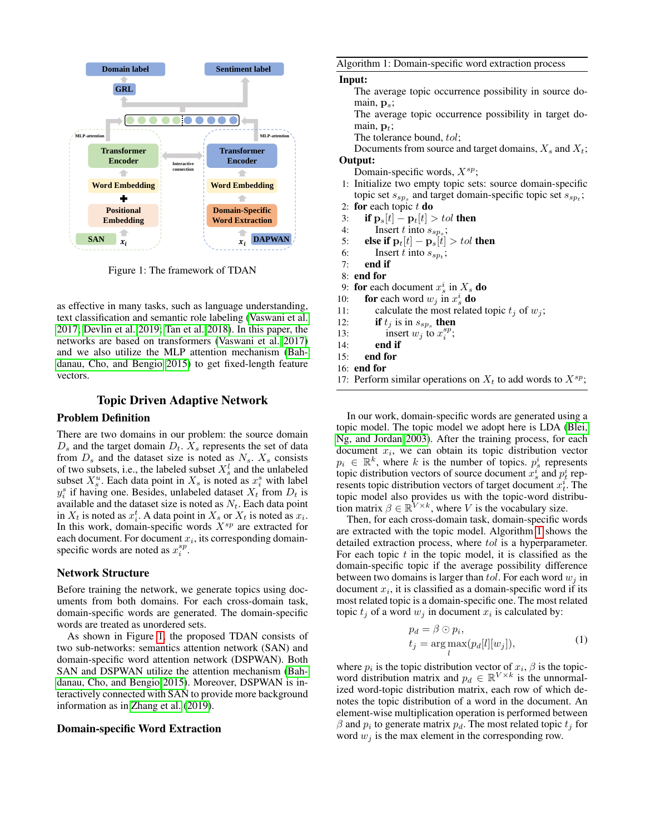<span id="page-2-0"></span>

Figure 1: The framework of TDAN

as effective in many tasks, such as language understanding, text classification and semantic role labeling [\(Vaswani et al.](#page-8-4) [2017;](#page-8-4) [Devlin et al. 2019;](#page-7-21) [Tan et al. 2018\)](#page-8-5). In this paper, the networks are based on transformers [\(Vaswani et al. 2017\)](#page-8-4) and we also utilize the MLP attention mechanism [\(Bah](#page-7-5)[danau, Cho, and Bengio 2015\)](#page-7-5) to get fixed-length feature vectors.

## Topic Driven Adaptive Network

## Problem Definition

There are two domains in our problem: the source domain  $D_s$  and the target domain  $D_t$ .  $X_s$  represents the set of data from  $D_s$  and the dataset size is noted as  $N_s$ .  $X_s$  consists of two subsets, i.e., the labeled subset  $X_s^l$  and the unlabeled subset  $X_s^u$ . Each data point in  $X_s$  is noted as  $x_i^s$  with label  $y_i^s$  if having one. Besides, unlabeled dataset  $X_t$  from  $D_t$  is available and the dataset size is noted as  $N_t$ . Each data point in  $X_t$  is noted as  $x_i^t$ . A data point in  $X_s$  or  $X_t$  is noted as  $x_i$ . In this work, domain-specific words  $X^{sp}$  are extracted for each document. For document  $x_i$ , its corresponding domainspecific words are noted as  $x_i^{sp}$ .

## Network Structure

Before training the network, we generate topics using documents from both domains. For each cross-domain task, domain-specific words are generated. The domain-specific words are treated as unordered sets.

As shown in Figure [1,](#page-2-0) the proposed TDAN consists of two sub-networks: semantics attention network (SAN) and domain-specific word attention network (DSPWAN). Both SAN and DSPWAN utilize the attention mechanism [\(Bah](#page-7-5)[danau, Cho, and Bengio 2015\)](#page-7-5). Moreover, DSPWAN is interactively connected with SAN to provide more background information as in [Zhang et al.](#page-8-1) [\(2019\)](#page-8-1).

## Domain-specific Word Extraction

<span id="page-2-1"></span>Algorithm 1: Domain-specific word extraction process

#### Input:

The average topic occurrence possibility in source domain,  $p_s$ ;

The average topic occurrence possibility in target domain,  $\mathbf{p}_t$ ;

The tolerance bound, tol;

Documents from source and target domains,  $X_s$  and  $X_t$ ;

# Output:

Domain-specific words,  $X^{sp}$ ;

- 1: Initialize two empty topic sets: source domain-specific topic set  $s_{sp_s}$  and target domain-specific topic set  $s_{sp_t}$ ;
- 2: for each topic  $t$  do
- 3: if  $\mathbf{p}_s[t] \mathbf{p}_t[t] > tol$  then
- 4: Insert t into  $s_{sp_s}$ ;
- 5: **else if**  $\mathbf{p}_t[t] \mathbf{p}_s[t] > tol$  then
- 6: Insert t into  $s_{sp_t}$ ;
- 7: end if
- 8: end for
- 9: for each document  $x_s^i$  in  $X_s$  do
- 10: **for** each word  $w_j$  in  $x_s^i$  **do**
- 11: calculate the most related topic  $t_i$  of  $w_i$ ;
- 12: **if**  $t_j$  is in  $s_{sp_s}$  then
- 13: insert  $w_j$  to  $x_i^{sp}$ ;
- 14: end if
- 15: end for
- 16: end for
- 17: Perform similar operations on  $X_t$  to add words to  $X^{sp}$ ;

In our work, domain-specific words are generated using a topic model. The topic model we adopt here is LDA [\(Blei,](#page-7-14) [Ng, and Jordan 2003\)](#page-7-14). After the training process, for each document  $x_i$ , we can obtain its topic distribution vector  $p_i \in \mathbb{R}^k$ , where k is the number of topics.  $p_s^i$  represents topic distribution vectors of source document  $x_s^i$  and  $p_t^i$  represents topic distribution vectors of target document  $\vec{x}_t^i$ . The topic model also provides us with the topic-word distribution matrix  $\beta \in \mathbb{R}^{V \times k}$ , where V is the vocabulary size.

Then, for each cross-domain task, domain-specific words are extracted with the topic model. Algorithm [1](#page-2-1) shows the detailed extraction process, where tol is a hyperparameter. For each topic  $t$  in the topic model, it is classified as the domain-specific topic if the average possibility difference between two domains is larger than tol. For each word  $w_i$  in document  $x_i$ , it is classified as a domain-specific word if its most related topic is a domain-specific one. The most related topic  $t_j$  of a word  $w_j$  in document  $x_i$  is calculated by:

$$
p_d = \beta \odot p_i,
$$
  
\n
$$
t_j = \underset{l}{\arg \max} (p_d[l][w_j]),
$$
\n(1)

where  $p_i$  is the topic distribution vector of  $x_i$ ,  $\beta$  is the topicword distribution matrix and  $p_d \in \mathbb{R}^{V \times k}$  is the unnormalized word-topic distribution matrix, each row of which denotes the topic distribution of a word in the document. An element-wise multiplication operation is performed between  $\beta$  and  $p_i$  to generate matrix  $p_d$ . The most related topic  $t_j$  for word  $w_i$  is the max element in the corresponding row.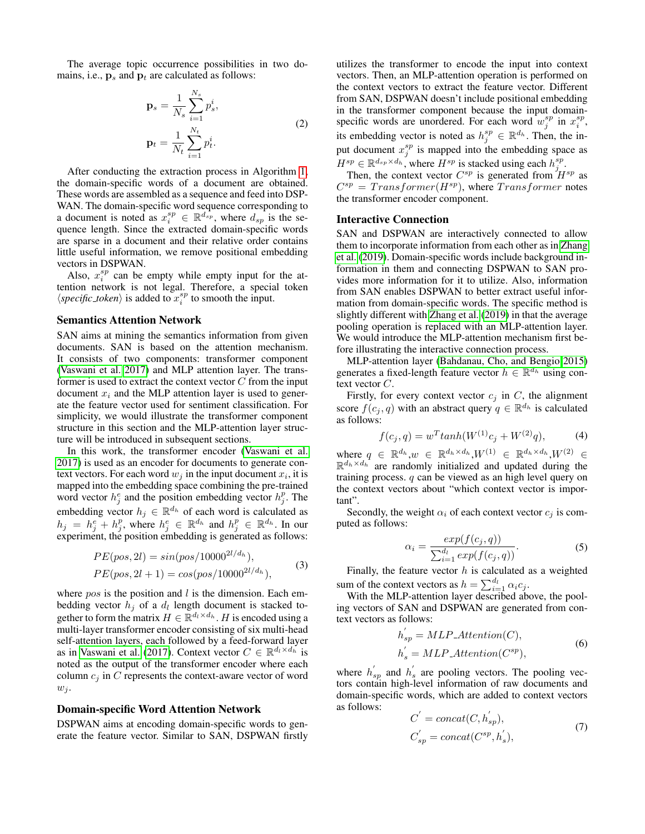The average topic occurrence possibilities in two domains, i.e.,  $\mathbf{p}_s$  and  $\mathbf{p}_t$  are calculated as follows:

$$
\mathbf{p}_s = \frac{1}{N_s} \sum_{i=1}^{N_s} p_s^i,
$$
  

$$
\mathbf{p}_t = \frac{1}{N_t} \sum_{i=1}^{N_t} p_t^i.
$$
 (2)

After conducting the extraction process in Algorithm [1,](#page-2-1) the domain-specific words of a document are obtained. These words are assembled as a sequence and feed into DSP-WAN. The domain-specific word sequence corresponding to a document is noted as  $x_i^{sp} \in \mathbb{R}^{d_{sp}}$ , where  $d_{sp}$  is the sequence length. Since the extracted domain-specific words are sparse in a document and their relative order contains little useful information, we remove positional embedding vectors in DSPWAN.

Also,  $x_i^{sp}$  can be empty while empty input for the attention network is not legal. Therefore, a special token  $\langle \textit{specific\_token} \rangle$  is added to  $x_i^{sp}$  to smooth the input.

### Semantics Attention Network

SAN aims at mining the semantics information from given documents. SAN is based on the attention mechanism. It consists of two components: transformer component [\(Vaswani et al. 2017\)](#page-8-4) and MLP attention layer. The transformer is used to extract the context vector  $C$  from the input document  $x_i$  and the MLP attention layer is used to generate the feature vector used for sentiment classification. For simplicity, we would illustrate the transformer component structure in this section and the MLP-attention layer structure will be introduced in subsequent sections.

In this work, the transformer encoder [\(Vaswani et al.](#page-8-4) [2017\)](#page-8-4) is used as an encoder for documents to generate context vectors. For each word  $w_j$  in the input document  $x_i$ , it is mapped into the embedding space combining the pre-trained word vector  $h_j^e$  and the position embedding vector  $h_j^p$ . The embedding vector  $h_j \in \mathbb{R}^{d_h}$  of each word is calculated as  $h_j = h_j^e + h_j^p$ , where  $h_j^e \in \mathbb{R}^{d_h}$  and  $h_j^p \in \mathbb{R}^{d_h}$ . In our experiment, the position embedding is generated as follows:

$$
PE(pos, 2l) = sin(pos/10000^{2l/d_h}),
$$
  
\n $PE(pos, 2l + 1) = cos(pos/10000^{2l/d_h}),$ \n(3)

where  $pos$  is the position and  $l$  is the dimension. Each embedding vector  $h_j$  of a  $d_l$  length document is stacked together to form the matrix  $H \in \mathbb{R}^{d_l \times d_h}$ . H is encoded using a multi-layer transformer encoder consisting of six multi-head self-attention layers, each followed by a feed-forward layer as in [Vaswani et al.](#page-8-4) [\(2017\)](#page-8-4). Context vector  $C \in \mathbb{R}^{d_l \times d_h}$  is noted as the output of the transformer encoder where each column  $c_j$  in  $C$  represents the context-aware vector of word  $w_i$ .

#### Domain-specific Word Attention Network

DSPWAN aims at encoding domain-specific words to generate the feature vector. Similar to SAN, DSPWAN firstly

utilizes the transformer to encode the input into context vectors. Then, an MLP-attention operation is performed on the context vectors to extract the feature vector. Different from SAN, DSPWAN doesn't include positional embedding in the transformer component because the input domainspecific words are unordered. For each word  $w_j^{sp}$  in  $x_i^{sp}$ , its embedding vector is noted as  $h_j^{sp} \in \mathbb{R}^{d_h}$ . Then, the input document  $x_j^{sp}$  is mapped into the embedding space as  $H^{sp} \in \mathbb{R}^{d_{sp} \times d_h}$ , where  $H^{sp}$  is stacked using each  $h_j^{sp}$ .

Then, the context vector  $C^{sp}$  is generated from  $H^{sp}$  as  $C^{sp} = Transfer(H^{sp})$ , where  $Transformer$  notes the transformer encoder component.

## Interactive Connection

SAN and DSPWAN are interactively connected to allow them to incorporate information from each other as in [Zhang](#page-8-1) [et al.](#page-8-1) [\(2019\)](#page-8-1). Domain-specific words include background information in them and connecting DSPWAN to SAN provides more information for it to utilize. Also, information from SAN enables DSPWAN to better extract useful information from domain-specific words. The specific method is slightly different with [Zhang et al.](#page-8-1) [\(2019\)](#page-8-1) in that the average pooling operation is replaced with an MLP-attention layer. We would introduce the MLP-attention mechanism first before illustrating the interactive connection process.

MLP-attention layer [\(Bahdanau, Cho, and Bengio 2015\)](#page-7-5) generates a fixed-length feature vector  $h \in \mathbb{R}^{d_h}$  using context vector  $C$ .

Firstly, for every context vector  $c_j$  in C, the alignment score  $f(c_j, q)$  with an abstract query  $q \in \mathbb{R}^{d_h}$  is calculated as follows:

$$
f(c_j, q) = w^T \tanh(W^{(1)}c_j + W^{(2)}q), \tag{4}
$$

where  $q \in \mathbb{R}^{d_h}$ ,  $w \in \mathbb{R}^{d_h \times d_h}$ ,  $W^{(1)} \in \mathbb{R}^{d_h \times d_h}$ ,  $W^{(2)} \in$  $\mathbb{R}^{d_h \times d_h}$  are randomly initialized and updated during the training process. q can be viewed as an high level query on the context vectors about "which context vector is important".

Secondly, the weight  $\alpha_i$  of each context vector  $c_j$  is computed as follows:

$$
\alpha_i = \frac{\exp(f(c_j, q))}{\sum_{i=1}^{d_l} \exp(f(c_j, q))}.\tag{5}
$$

Finally, the feature vector  $h$  is calculated as a weighted sum of the context vectors as  $h = \sum_{i=1}^{d_l} \alpha_i c_j$ .

With the MLP-attention layer described above, the pooling vectors of SAN and DSPWAN are generated from context vectors as follows:

$$
h'_{sp} = MLP\_Attention(C),
$$
  
\n
$$
h'_{s} = MLP\_Attention(C^{sp}),
$$
\n(6)

where  $h'_{sp}$  and  $h'_{s}$  are pooling vectors. The pooling vectors contain high-level information of raw documents and domain-specific words, which are added to context vectors as follows:  $\overline{\phantom{0}}$  $\overline{\phantom{a}}$ 

$$
C = concat(C, h_{sp}),
$$
  
\n
$$
C'_{sp} = concat(C^{sp}, h'_{s}),
$$
\n(7)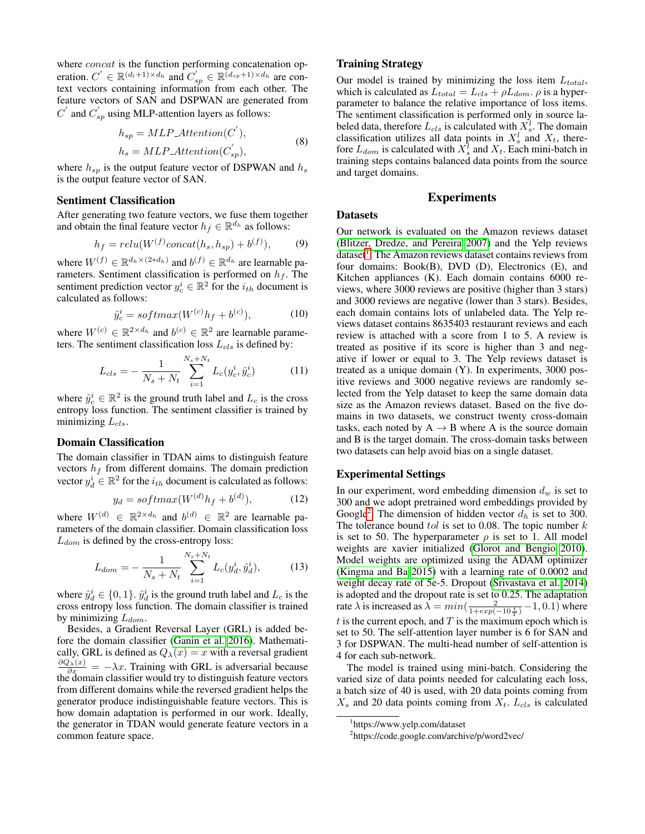where *concat* is the function performing concatenation operation.  $C' \in \mathbb{R}^{(d_l+1)\times d_h}$  and  $C'_{sp} \in \mathbb{R}^{(d_{sp}+1)\times d_h}$  are context vectors containing information from each other. The feature vectors of SAN and DSPWAN are generated from  $C'$  and  $C'_{sp}$  using MLP-attention layers as follows:

$$
h_{sp} = MLP\_Attention(C^{'}),
$$
  
\n
$$
h_s = MLP\_Attention(C^{'}_{sp}),
$$
\n(8)

where  $h_{sp}$  is the output feature vector of DSPWAN and  $h_s$ is the output feature vector of SAN.

#### Sentiment Classification

After generating two feature vectors, we fuse them together and obtain the final feature vector  $h_f \in \mathbb{R}^{d_h}$  as follows:

$$
h_f = relu(W^{(f)}concat(h_s, h_{sp}) + b^{(f)}), \qquad (9)
$$

where  $W^{(f)} \in \mathbb{R}^{d_h \times (2 \ast d_h)}$  and  $b^{(f)} \in \mathbb{R}^{d_h}$  are learnable parameters. Sentiment classification is performed on  $h_f$ . The sentiment prediction vector  $y_c^i \in \mathbb{R}^2$  for the  $i_{th}$  document is calculated as follows:

$$
\hat{y}_c^i = softmax(W^{(c)}h_f + b^{(c)}), \tag{10}
$$

where  $W^{(c)} \in \mathbb{R}^{2 \times d_h}$  and  $b^{(c)} \in \mathbb{R}^2$  are learnable parameters. The sentiment classification loss  $L_{cls}$  is defined by:

$$
L_{cls} = -\frac{1}{N_s + N_t} \sum_{i=1}^{N_s + N_t} L_c(y_c^i, \hat{y}_c^i)
$$
 (11)

where  $\hat{y}_c^i \in \mathbb{R}^2$  is the ground truth label and  $L_c$  is the cross entropy loss function. The sentiment classifier is trained by minimizing  $L_{cls}$ .

## Domain Classification

The domain classifier in TDAN aims to distinguish feature vectors  $h_f$  from different domains. The domain prediction vector  $y_d^i \in \mathbb{R}^2$  for the  $i_{th}$  document is calculated as follows:

$$
y_d = softmax(W^{(d)}h_f + b^{(d)}), \qquad (12)
$$

where  $W^{(d)} \in \mathbb{R}^{2 \times d_h}$  and  $b^{(d)} \in \mathbb{R}^2$  are learnable parameters of the domain classifier. Domain classification loss  $L_{dom}$  is defined by the cross-entropy loss:

$$
L_{dom} = -\frac{1}{N_s + N_t} \sum_{i=1}^{N_s + N_t} L_c(y_d^i, \hat{y}_d^i), \tag{13}
$$

where  $\hat{y}_d^i \in \{0, 1\}$ .  $\hat{y}_d^i$  is the ground truth label and  $L_c$  is the cross entropy loss function. The domain classifier is trained by minimizing  $L_{dom}$ .

Besides, a Gradient Reversal Layer (GRL) is added before the domain classifier [\(Ganin et al. 2016\)](#page-7-13). Mathematically, GRL is defined as  $Q_{\lambda}(x) = x$  with a reversal gradient  $\frac{\partial Q_{\lambda}(x)}{\partial x} = -\lambda x$ . Training with GRL is adversarial because the domain classifier would try to distinguish feature vectors from different domains while the reversed gradient helps the generator produce indistinguishable feature vectors. This is how domain adaptation is performed in our work. Ideally, the generator in TDAN would generate feature vectors in a common feature space.

### Training Strategy

Our model is trained by minimizing the loss item  $L_{total}$ , which is calculated as  $L_{total} = L_{cls} + \rho L_{dom}$ .  $\rho$  is a hyperparameter to balance the relative importance of loss items. The sentiment classification is performed only in source labeled data, therefore  $L_{cls}$  is calculated with  $X_s^l$ . The domain classification utilizes all data points in  $X_s^l$  and  $X_t$ , therefore  $L_{dom}$  is calculated with  $X_s^l$  and  $X_t$ . Each mini-batch in training steps contains balanced data points from the source and target domains.

## Experiments

## **Datasets**

Our network is evaluated on the Amazon reviews dataset [\(Blitzer, Dredze, and Pereira 2007\)](#page-7-7) and the Yelp reviews dataset<sup>[1](#page-4-0)</sup>. The Amazon reviews dataset contains reviews from four domains: Book(B), DVD (D), Electronics (E), and Kitchen appliances (K). Each domain contains 6000 reviews, where 3000 reviews are positive (higher than 3 stars) and 3000 reviews are negative (lower than 3 stars). Besides, each domain contains lots of unlabeled data. The Yelp reviews dataset contains 8635403 restaurant reviews and each review is attached with a score from 1 to 5. A review is treated as positive if its score is higher than 3 and negative if lower or equal to 3. The Yelp reviews dataset is treated as a unique domain (Y). In experiments, 3000 positive reviews and 3000 negative reviews are randomly selected from the Yelp dataset to keep the same domain data size as the Amazon reviews dataset. Based on the five domains in two datasets, we construct twenty cross-domain tasks, each noted by  $A \rightarrow B$  where A is the source domain and B is the target domain. The cross-domain tasks between two datasets can help avoid bias on a single dataset.

#### Experimental Settings

In our experiment, word embedding dimension  $d_w$  is set to 300 and we adopt pretrained word embeddings provided by Google<sup>[2](#page-4-1)</sup>. The dimension of hidden vector  $d_h$  is set to 300. The tolerance bound  $tol$  is set to 0.08. The topic number  $k$ is set to 50. The hyperparameter  $\rho$  is set to 1. All model weights are xavier initialized [\(Glorot and Bengio 2010\)](#page-7-22). Model weights are optimized using the ADAM optimizer [\(Kingma and Ba 2015\)](#page-7-23) with a learning rate of 0.0002 and weight decay rate of 5e-5. Dropout [\(Srivastava et al. 2014\)](#page-7-24) is adopted and the dropout rate is set to 0.25. The adaptation rate  $\lambda$  is increased as  $\lambda = min(\frac{2}{1+exp(-10\frac{t}{T})}-1, 0.1)$  where  $t$  is the current epoch, and  $T$  is the maximum epoch which is set to 50. The self-attention layer number is 6 for SAN and 3 for DSPWAN. The multi-head number of self-attention is 4 for each sub-network.

The model is trained using mini-batch. Considering the varied size of data points needed for calculating each loss, a batch size of 40 is used, with 20 data points coming from  $X_s$  and 20 data points coming from  $X_t$ .  $L_{cls}$  is calculated

<span id="page-4-0"></span><sup>1</sup> https://www.yelp.com/dataset

<span id="page-4-1"></span><sup>&</sup>lt;sup>2</sup>https://code.google.com/archive/p/word2vec/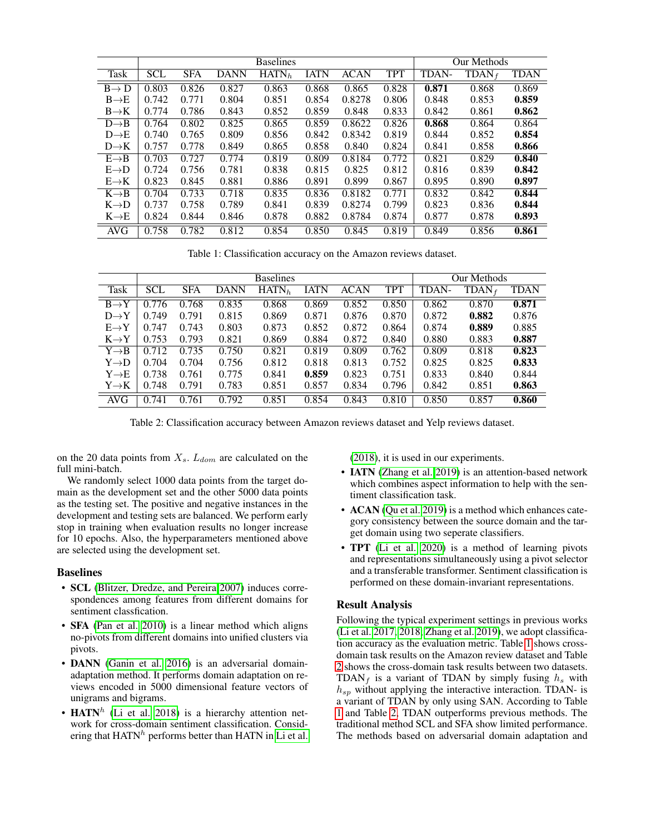<span id="page-5-0"></span>

|                   | <b>Baselines</b> |            |             |                   |             |             | Our Methods |       |       |             |
|-------------------|------------------|------------|-------------|-------------------|-------------|-------------|-------------|-------|-------|-------------|
| <b>Task</b>       | <b>SCL</b>       | <b>SFA</b> | <b>DANN</b> | HATN <sub>h</sub> | <b>IATN</b> | <b>ACAN</b> | <b>TPT</b>  | TDAN- | TDAN  | <b>TDAN</b> |
| $B \rightarrow D$ | 0.803            | 0.826      | 0.827       | 0.863             | 0.868       | 0.865       | 0.828       | 0.871 | 0.868 | 0.869       |
| $B \rightarrow E$ | 0.742            | 0.771      | 0.804       | 0.851             | 0.854       | 0.8278      | 0.806       | 0.848 | 0.853 | 0.859       |
| $B\rightarrow K$  | 0.774            | 0.786      | 0.843       | 0.852             | 0.859       | 0.848       | 0.833       | 0.842 | 0.861 | 0.862       |
| $D \rightarrow B$ | 0.764            | 0.802      | 0.825       | 0.865             | 0.859       | 0.8622      | 0.826       | 0.868 | 0.864 | 0.864       |
| $D \rightarrow E$ | 0.740            | 0.765      | 0.809       | 0.856             | 0.842       | 0.8342      | 0.819       | 0.844 | 0.852 | 0.854       |
| $D \rightarrow K$ | 0.757            | 0.778      | 0.849       | 0.865             | 0.858       | 0.840       | 0.824       | 0.841 | 0.858 | 0.866       |
| $E \rightarrow B$ | 0.703            | 0.727      | 0.774       | 0.819             | 0.809       | 0.8184      | 0.772       | 0.821 | 0.829 | 0.840       |
| $E \rightarrow D$ | 0.724            | 0.756      | 0.781       | 0.838             | 0.815       | 0.825       | 0.812       | 0.816 | 0.839 | 0.842       |
| $E \rightarrow K$ | 0.823            | 0.845      | 0.881       | 0.886             | 0.891       | 0.899       | 0.867       | 0.895 | 0.890 | 0.897       |
| $K \rightarrow B$ | 0.704            | 0.733      | 0.718       | 0.835             | 0.836       | 0.8182      | 0.771       | 0.832 | 0.842 | 0.844       |
| $K\rightarrow D$  | 0.737            | 0.758      | 0.789       | 0.841             | 0.839       | 0.8274      | 0.799       | 0.823 | 0.836 | 0.844       |
| $K \rightarrow E$ | 0.824            | 0.844      | 0.846       | 0.878             | 0.882       | 0.8784      | 0.874       | 0.877 | 0.878 | 0.893       |
| <b>AVG</b>        | 0.758            | 0.782      | 0.812       | 0.854             | 0.850       | 0.845       | 0.819       | 0.849 | 0.856 | 0.861       |

Table 1: Classification accuracy on the Amazon reviews dataset.

<span id="page-5-1"></span>

|                   | <b>Baselines</b> |            |             |                   |             |             | Our Methods |       |          |             |
|-------------------|------------------|------------|-------------|-------------------|-------------|-------------|-------------|-------|----------|-------------|
| Task              | <b>SCL</b>       | <b>SFA</b> | <b>DANN</b> | HATN <sub>h</sub> | <b>IATN</b> | <b>ACAN</b> | <b>TPT</b>  | TDAN- | $TDAN_f$ | <b>TDAN</b> |
| $B \rightarrow Y$ | 0.776            | 0.768      | 0.835       | 0.868             | 0.869       | 0.852       | 0.850       | 0.862 | 0.870    | 0.871       |
| $D \rightarrow Y$ | 0.749            | 0.791      | 0.815       | 0.869             | 0.871       | 0.876       | 0.870       | 0.872 | 0.882    | 0.876       |
| $E \rightarrow Y$ | 0.747            | 0.743      | 0.803       | 0.873             | 0.852       | 0.872       | 0.864       | 0.874 | 0.889    | 0.885       |
| $K \rightarrow Y$ | 0.753            | 0.793      | 0.821       | 0.869             | 0.884       | 0.872       | 0.840       | 0.880 | 0.883    | 0.887       |
| $Y \rightarrow B$ | 0.712            | 0.735      | 0.750       | 0.821             | 0.819       | 0.809       | 0.762       | 0.809 | 0.818    | 0.823       |
| $Y \rightarrow D$ | 0.704            | 0.704      | 0.756       | 0.812             | 0.818       | 0.813       | 0.752       | 0.825 | 0.825    | 0.833       |
| $Y \rightarrow E$ | 0.738            | 0.761      | 0.775       | 0.841             | 0.859       | 0.823       | 0.751       | 0.833 | 0.840    | 0.844       |
| $Y \rightarrow K$ | 0.748            | 0.791      | 0.783       | 0.851             | 0.857       | 0.834       | 0.796       | 0.842 | 0.851    | 0.863       |
| <b>AVG</b>        | 0.741            | 0.761      | 0.792       | 0.851             | 0.854       | 0.843       | 0.810       | 0.850 | 0.857    | 0.860       |

Table 2: Classification accuracy between Amazon reviews dataset and Yelp reviews dataset.

on the 20 data points from  $X_s$ .  $L_{dom}$  are calculated on the full mini-batch.

We randomly select 1000 data points from the target domain as the development set and the other 5000 data points as the testing set. The positive and negative instances in the development and testing sets are balanced. We perform early stop in training when evaluation results no longer increase for 10 epochs. Also, the hyperparameters mentioned above are selected using the development set.

#### Baselines

- **SCL** [\(Blitzer, Dredze, and Pereira 2007\)](#page-7-7) induces correspondences among features from different domains for sentiment classfication.
- **SFA** [\(Pan et al. 2010\)](#page-7-0) is a linear method which aligns no-pivots from different domains into unified clusters via pivots.
- DANN [\(Ganin et al. 2016\)](#page-7-13) is an adversarial domainadaptation method. It performs domain adaptation on reviews encoded in 5000 dimensional feature vectors of unigrams and bigrams.
- HATN<sup>h</sup> [\(Li et al. 2018\)](#page-7-2) is a hierarchy attention network for cross-domain sentiment classification. Considering that  $HATN<sup>h</sup>$  performs better than HATN in [Li et al.](#page-7-2)

[\(2018\)](#page-7-2), it is used in our experiments.

- IATN [\(Zhang et al. 2019\)](#page-8-1) is an attention-based network which combines aspect information to help with the sentiment classification task.
- ACAN [\(Qu et al. 2019\)](#page-7-25) is a method which enhances category consistency between the source domain and the target domain using two seperate classifiers.
- **TPT** [\(Li et al. 2020\)](#page-7-8) is a method of learning pivots and representations simultaneously using a pivot selector and a transferable transformer. Sentiment classification is performed on these domain-invariant representations.

## Result Analysis

Following the typical experiment settings in previous works [\(Li et al. 2017,](#page-7-9) [2018;](#page-7-2) [Zhang et al. 2019\)](#page-8-1), we adopt classification accuracy as the evaluation metric. Table [1](#page-5-0) shows crossdomain task results on the Amazon review dataset and Table [2](#page-5-1) shows the cross-domain task results between two datasets. TDAN<sub>f</sub> is a variant of TDAN by simply fusing  $h_s$  with  $h_{sp}$  without applying the interactive interaction. TDAN- is a variant of TDAN by only using SAN. According to Table [1](#page-5-0) and Table [2,](#page-5-1) TDAN outperforms previous methods. The traditional method SCL and SFA show limited performance. The methods based on adversarial domain adaptation and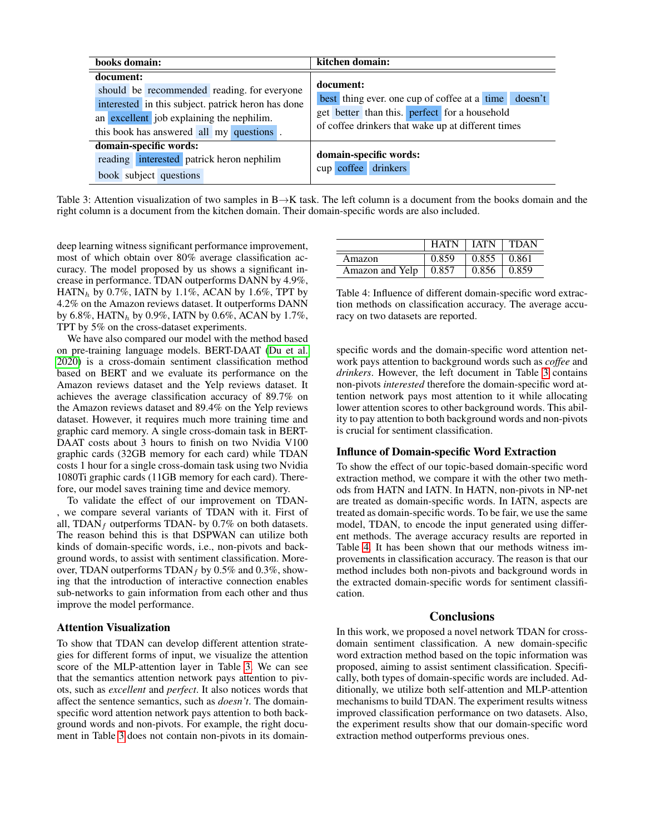<span id="page-6-0"></span>

| books domain:                                                                                                                                                                                           | kitchen domain:                                                                                                                                                          |  |  |  |  |
|---------------------------------------------------------------------------------------------------------------------------------------------------------------------------------------------------------|--------------------------------------------------------------------------------------------------------------------------------------------------------------------------|--|--|--|--|
| document:<br>should be recommended reading, for everyone<br>interested in this subject, patrick heron has done<br>an excellent job explaining the nephilim.<br>this book has answered all my questions. | document:<br>best thing ever, one cup of coffee at a time doesn't<br>get better than this. perfect for a household<br>of coffee drinkers that wake up at different times |  |  |  |  |
| domain-specific words:<br>reading interested patrick heron nephilim<br>book subject questions                                                                                                           | domain-specific words:<br>cup coffee drinkers                                                                                                                            |  |  |  |  |

Table 3: Attention visualization of two samples in B $\rightarrow$ K task. The left column is a document from the books domain and the right column is a document from the kitchen domain. Their domain-specific words are also included.

deep learning witness significant performance improvement, most of which obtain over 80% average classification accuracy. The model proposed by us shows a significant increase in performance. TDAN outperforms DANN by 4.9%, HATN<sub>h</sub> by 0.7%, IATN by 1.1%, ACAN by 1.6%, TPT by 4.2% on the Amazon reviews dataset. It outperforms DANN by 6.8%, HATN<sub>h</sub> by 0.9%, IATN by 0.6%, ACAN by 1.7%, TPT by 5% on the cross-dataset experiments.

We have also compared our model with the method based on pre-training language models. BERT-DAAT [\(Du et al.](#page-7-26) [2020\)](#page-7-26) is a cross-domain sentiment classification method based on BERT and we evaluate its performance on the Amazon reviews dataset and the Yelp reviews dataset. It achieves the average classification accuracy of 89.7% on the Amazon reviews dataset and 89.4% on the Yelp reviews dataset. However, it requires much more training time and graphic card memory. A single cross-domain task in BERT-DAAT costs about 3 hours to finish on two Nvidia V100 graphic cards (32GB memory for each card) while TDAN costs 1 hour for a single cross-domain task using two Nvidia 1080Ti graphic cards (11GB memory for each card). Therefore, our model saves training time and device memory.

To validate the effect of our improvement on TDAN- , we compare several variants of TDAN with it. First of all, TDAN<sub>f</sub> outperforms TDAN- by 0.7% on both datasets. The reason behind this is that DSPWAN can utilize both kinds of domain-specific words, i.e., non-pivots and background words, to assist with sentiment classification. Moreover, TDAN outperforms  $TDAN_f$  by 0.5% and 0.3%, showing that the introduction of interactive connection enables sub-networks to gain information from each other and thus improve the model performance.

#### Attention Visualization

To show that TDAN can develop different attention strategies for different forms of input, we visualize the attention score of the MLP-attention layer in Table [3.](#page-6-0) We can see that the semantics attention network pays attention to pivots, such as *excellent* and *perfect*. It also notices words that affect the sentence semantics, such as *doesn't*. The domainspecific word attention network pays attention to both background words and non-pivots. For example, the right document in Table [3](#page-6-0) does not contain non-pivots in its domain-

<span id="page-6-1"></span>

|                 | <b>HATN</b> | <b>IATN</b> | <b>TDAN</b> |
|-----------------|-------------|-------------|-------------|
| Amazon          | 0.859       | 0.855       | 0.861       |
| Amazon and Yelp | 0.857       | 0.856       | 0.859       |

Table 4: Influence of different domain-specific word extraction methods on classification accuracy. The average accuracy on two datasets are reported.

specific words and the domain-specific word attention network pays attention to background words such as *coffee* and *drinkers*. However, the left document in Table [3](#page-6-0) contains non-pivots *interested* therefore the domain-specific word attention network pays most attention to it while allocating lower attention scores to other background words. This ability to pay attention to both background words and non-pivots is crucial for sentiment classification.

#### Influnce of Domain-specific Word Extraction

To show the effect of our topic-based domain-specific word extraction method, we compare it with the other two methods from HATN and IATN. In HATN, non-pivots in NP-net are treated as domain-specific words. In IATN, aspects are treated as domain-specific words. To be fair, we use the same model, TDAN, to encode the input generated using different methods. The average accuracy results are reported in Table [4.](#page-6-1) It has been shown that our methods witness improvements in classification accuracy. The reason is that our method includes both non-pivots and background words in the extracted domain-specific words for sentiment classification.

#### Conclusions

In this work, we proposed a novel network TDAN for crossdomain sentiment classification. A new domain-specific word extraction method based on the topic information was proposed, aiming to assist sentiment classification. Specifically, both types of domain-specific words are included. Additionally, we utilize both self-attention and MLP-attention mechanisms to build TDAN. The experiment results witness improved classification performance on two datasets. Also, the experiment results show that our domain-specific word extraction method outperforms previous ones.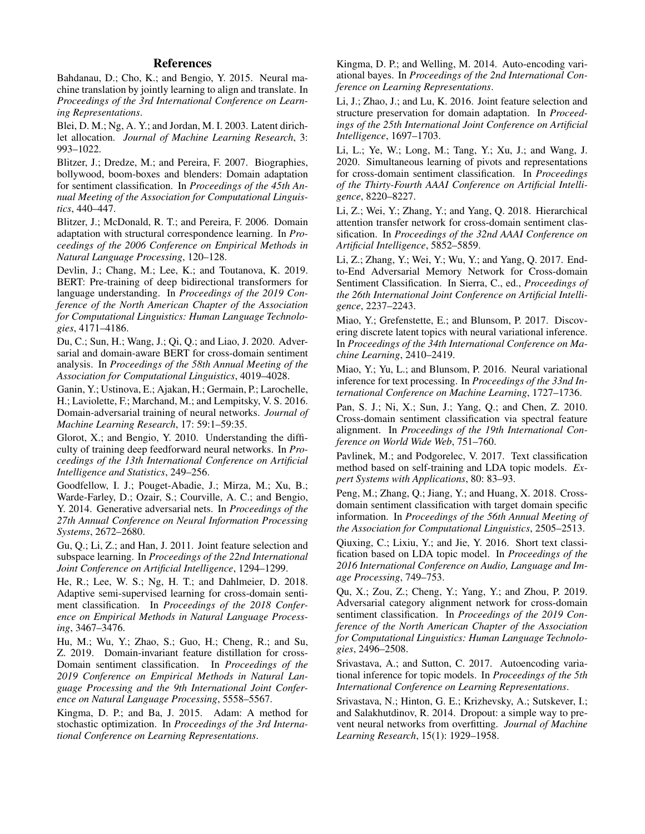## References

<span id="page-7-5"></span>Bahdanau, D.; Cho, K.; and Bengio, Y. 2015. Neural machine translation by jointly learning to align and translate. In *Proceedings of the 3rd International Conference on Learning Representations*.

<span id="page-7-14"></span>Blei, D. M.; Ng, A. Y.; and Jordan, M. I. 2003. Latent dirichlet allocation. *Journal of Machine Learning Research*, 3: 993–1022.

<span id="page-7-7"></span>Blitzer, J.; Dredze, M.; and Pereira, F. 2007. Biographies, bollywood, boom-boxes and blenders: Domain adaptation for sentiment classification. In *Proceedings of the 45th Annual Meeting of the Association for Computational Linguistics*, 440–447.

<span id="page-7-6"></span>Blitzer, J.; McDonald, R. T.; and Pereira, F. 2006. Domain adaptation with structural correspondence learning. In *Proceedings of the 2006 Conference on Empirical Methods in Natural Language Processing*, 120–128.

<span id="page-7-21"></span>Devlin, J.; Chang, M.; Lee, K.; and Toutanova, K. 2019. BERT: Pre-training of deep bidirectional transformers for language understanding. In *Proceedings of the 2019 Conference of the North American Chapter of the Association for Computational Linguistics: Human Language Technologies*, 4171–4186.

<span id="page-7-26"></span>Du, C.; Sun, H.; Wang, J.; Qi, Q.; and Liao, J. 2020. Adversarial and domain-aware BERT for cross-domain sentiment analysis. In *Proceedings of the 58th Annual Meeting of the Association for Computational Linguistics*, 4019–4028.

<span id="page-7-13"></span>Ganin, Y.; Ustinova, E.; Ajakan, H.; Germain, P.; Larochelle, H.; Laviolette, F.; Marchand, M.; and Lempitsky, V. S. 2016. Domain-adversarial training of neural networks. *Journal of Machine Learning Research*, 17: 59:1–59:35.

<span id="page-7-22"></span>Glorot, X.; and Bengio, Y. 2010. Understanding the difficulty of training deep feedforward neural networks. In *Proceedings of the 13th International Conference on Artificial Intelligence and Statistics*, 249–256.

<span id="page-7-10"></span>Goodfellow, I. J.; Pouget-Abadie, J.; Mirza, M.; Xu, B.; Warde-Farley, D.; Ozair, S.; Courville, A. C.; and Bengio, Y. 2014. Generative adversarial nets. In *Proceedings of the 27th Annual Conference on Neural Information Processing Systems*, 2672–2680.

<span id="page-7-11"></span>Gu, Q.; Li, Z.; and Han, J. 2011. Joint feature selection and subspace learning. In *Proceedings of the 22nd International Joint Conference on Artificial Intelligence*, 1294–1299.

<span id="page-7-3"></span>He, R.; Lee, W. S.; Ng, H. T.; and Dahlmeier, D. 2018. Adaptive semi-supervised learning for cross-domain sentiment classification. In *Proceedings of the 2018 Conference on Empirical Methods in Natural Language Processing*, 3467–3476.

<span id="page-7-4"></span>Hu, M.; Wu, Y.; Zhao, S.; Guo, H.; Cheng, R.; and Su, Z. 2019. Domain-invariant feature distillation for cross-Domain sentiment classification. In *Proceedings of the 2019 Conference on Empirical Methods in Natural Language Processing and the 9th International Joint Conference on Natural Language Processing*, 5558–5567.

<span id="page-7-23"></span>Kingma, D. P.; and Ba, J. 2015. Adam: A method for stochastic optimization. In *Proceedings of the 3rd International Conference on Learning Representations*.

<span id="page-7-15"></span>Kingma, D. P.; and Welling, M. 2014. Auto-encoding variational bayes. In *Proceedings of the 2nd International Conference on Learning Representations*.

<span id="page-7-12"></span>Li, J.; Zhao, J.; and Lu, K. 2016. Joint feature selection and structure preservation for domain adaptation. In *Proceedings of the 25th International Joint Conference on Artificial Intelligence*, 1697–1703.

<span id="page-7-8"></span>Li, L.; Ye, W.; Long, M.; Tang, Y.; Xu, J.; and Wang, J. 2020. Simultaneous learning of pivots and representations for cross-domain sentiment classification. In *Proceedings of the Thirty-Fourth AAAI Conference on Artificial Intelligence*, 8220–8227.

<span id="page-7-2"></span>Li, Z.; Wei, Y.; Zhang, Y.; and Yang, Q. 2018. Hierarchical attention transfer network for cross-domain sentiment classification. In *Proceedings of the 32nd AAAI Conference on Artificial Intelligence*, 5852–5859.

<span id="page-7-9"></span>Li, Z.; Zhang, Y.; Wei, Y.; Wu, Y.; and Yang, Q. 2017. Endto-End Adversarial Memory Network for Cross-domain Sentiment Classification. In Sierra, C., ed., *Proceedings of the 26th International Joint Conference on Artificial Intelligence*, 2237–2243.

<span id="page-7-17"></span>Miao, Y.; Grefenstette, E.; and Blunsom, P. 2017. Discovering discrete latent topics with neural variational inference. In *Proceedings of the 34th International Conference on Machine Learning*, 2410–2419.

<span id="page-7-16"></span>Miao, Y.; Yu, L.; and Blunsom, P. 2016. Neural variational inference for text processing. In *Proceedings of the 33nd International Conference on Machine Learning*, 1727–1736.

<span id="page-7-0"></span>Pan, S. J.; Ni, X.; Sun, J.; Yang, Q.; and Chen, Z. 2010. Cross-domain sentiment classification via spectral feature alignment. In *Proceedings of the 19th International Conference on World Wide Web*, 751–760.

<span id="page-7-20"></span>Pavlinek, M.; and Podgorelec, V. 2017. Text classification method based on self-training and LDA topic models. *Expert Systems with Applications*, 80: 83–93.

<span id="page-7-1"></span>Peng, M.; Zhang, Q.; Jiang, Y.; and Huang, X. 2018. Crossdomain sentiment classification with target domain specific information. In *Proceedings of the 56th Annual Meeting of the Association for Computational Linguistics*, 2505–2513.

<span id="page-7-19"></span>Qiuxing, C.; Lixiu, Y.; and Jie, Y. 2016. Short text classification based on LDA topic model. In *Proceedings of the 2016 International Conference on Audio, Language and Image Processing*, 749–753.

<span id="page-7-25"></span>Qu, X.; Zou, Z.; Cheng, Y.; Yang, Y.; and Zhou, P. 2019. Adversarial category alignment network for cross-domain sentiment classification. In *Proceedings of the 2019 Conference of the North American Chapter of the Association for Computational Linguistics: Human Language Technologies*, 2496–2508.

<span id="page-7-18"></span>Srivastava, A.; and Sutton, C. 2017. Autoencoding variational inference for topic models. In *Proceedings of the 5th International Conference on Learning Representations*.

<span id="page-7-24"></span>Srivastava, N.; Hinton, G. E.; Krizhevsky, A.; Sutskever, I.; and Salakhutdinov, R. 2014. Dropout: a simple way to prevent neural networks from overfitting. *Journal of Machine Learning Research*, 15(1): 1929–1958.